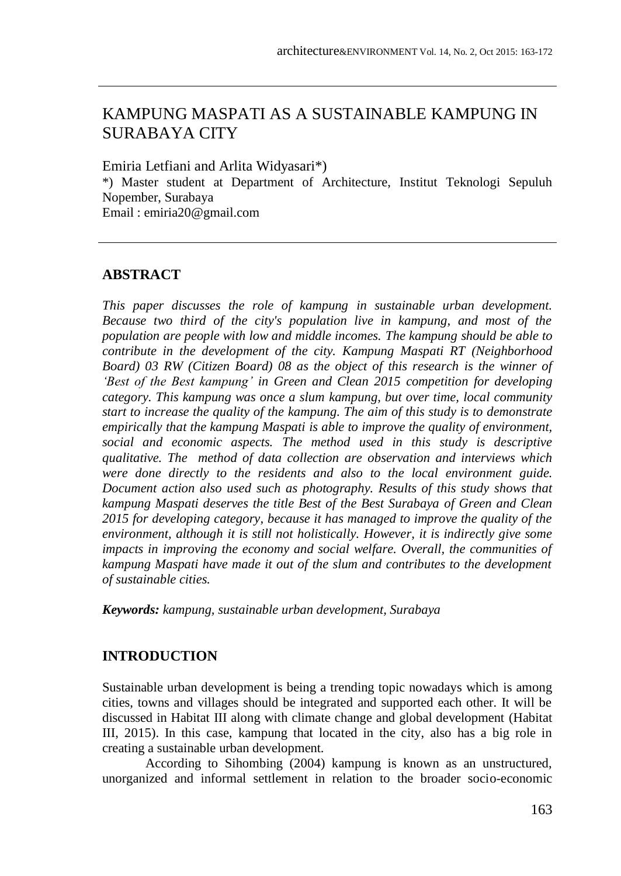# KAMPUNG MASPATI AS A SUSTAINABLE KAMPUNG IN SURABAYA CITY

Emiria Letfiani and Arlita Widyasari\*) \*) Master student at Department of Architecture, Institut Teknologi Sepuluh Nopember, Surabaya Email : emiria20@gmail.com

## **ABSTRACT**

*This paper discusses the role of kampung in sustainable urban development. Because two third of the city's population live in kampung, and most of the population are people with low and middle incomes. The kampung should be able to contribute in the development of the city. Kampung Maspati RT (Neighborhood Board) 03 RW (Citizen Board) 08 as the object of this research is the winner of 'Best of the Best kampung' in Green and Clean 2015 competition for developing category. This kampung was once a slum kampung, but over time, local community start to increase the quality of the kampung. The aim of this study is to demonstrate empirically that the kampung Maspati is able to improve the quality of environment, social and economic aspects. The method used in this study is descriptive qualitative. The method of data collection are observation and interviews which were done directly to the residents and also to the local environment guide. Document action also used such as photography. Results of this study shows that kampung Maspati deserves the title Best of the Best Surabaya of Green and Clean 2015 for developing category, because it has managed to improve the quality of the environment, although it is still not holistically. However, it is indirectly give some impacts in improving the economy and social welfare. Overall, the communities of kampung Maspati have made it out of the slum and contributes to the development of sustainable cities.*

*Keywords: kampung, sustainable urban development, Surabaya*

## **INTRODUCTION**

Sustainable urban development is being a trending topic nowadays which is among cities, towns and villages should be integrated and supported each other. It will be discussed in Habitat III along with climate change and global development (Habitat III, 2015). In this case, kampung that located in the city, also has a big role in creating a sustainable urban development.

According to Sihombing (2004) kampung is known as an unstructured, unorganized and informal settlement in relation to the broader socio-economic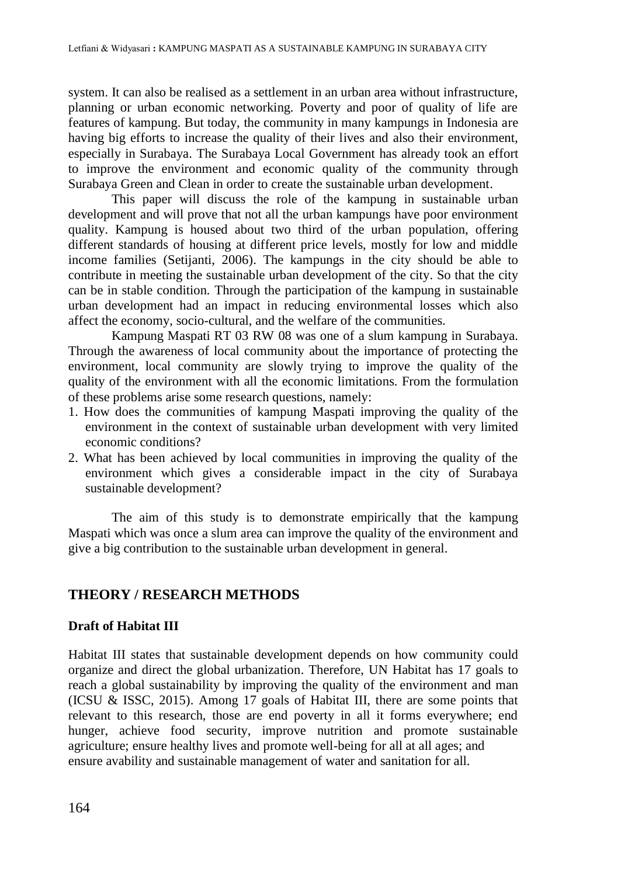system. It can also be realised as a settlement in an urban area without infrastructure, planning or urban economic networking. Poverty and poor of quality of life are features of kampung. But today, the community in many kampungs in Indonesia are having big efforts to increase the quality of their lives and also their environment, especially in Surabaya. The Surabaya Local Government has already took an effort to improve the environment and economic quality of the community through Surabaya Green and Clean in order to create the sustainable urban development.

This paper will discuss the role of the kampung in sustainable urban development and will prove that not all the urban kampungs have poor environment quality. Kampung is housed about two third of the urban population, offering different standards of housing at different price levels, mostly for low and middle income families (Setijanti, 2006). The kampungs in the city should be able to contribute in meeting the sustainable urban development of the city. So that the city can be in stable condition. Through the participation of the kampung in sustainable urban development had an impact in reducing environmental losses which also affect the economy, socio-cultural, and the welfare of the communities.

Kampung Maspati RT 03 RW 08 was one of a slum kampung in Surabaya. Through the awareness of local community about the importance of protecting the environment, local community are slowly trying to improve the quality of the quality of the environment with all the economic limitations. From the formulation of these problems arise some research questions, namely:

- 1. How does the communities of kampung Maspati improving the quality of the environment in the context of sustainable urban development with very limited economic conditions?
- 2. What has been achieved by local communities in improving the quality of the environment which gives a considerable impact in the city of Surabaya sustainable development?

The aim of this study is to demonstrate empirically that the kampung Maspati which was once a slum area can improve the quality of the environment and give a big contribution to the sustainable urban development in general.

### **THEORY / RESEARCH METHODS**

#### **Draft of Habitat III**

Habitat III states that sustainable development depends on how community could organize and direct the global urbanization. Therefore, UN Habitat has 17 goals to reach a global sustainability by improving the quality of the environment and man (ICSU & ISSC, 2015). Among 17 goals of Habitat III, there are some points that relevant to this research, those are end poverty in all it forms everywhere; end hunger, achieve food security, improve nutrition and promote sustainable agriculture; ensure healthy lives and promote well-being for all at all ages; and ensure avability and sustainable management of water and sanitation for all.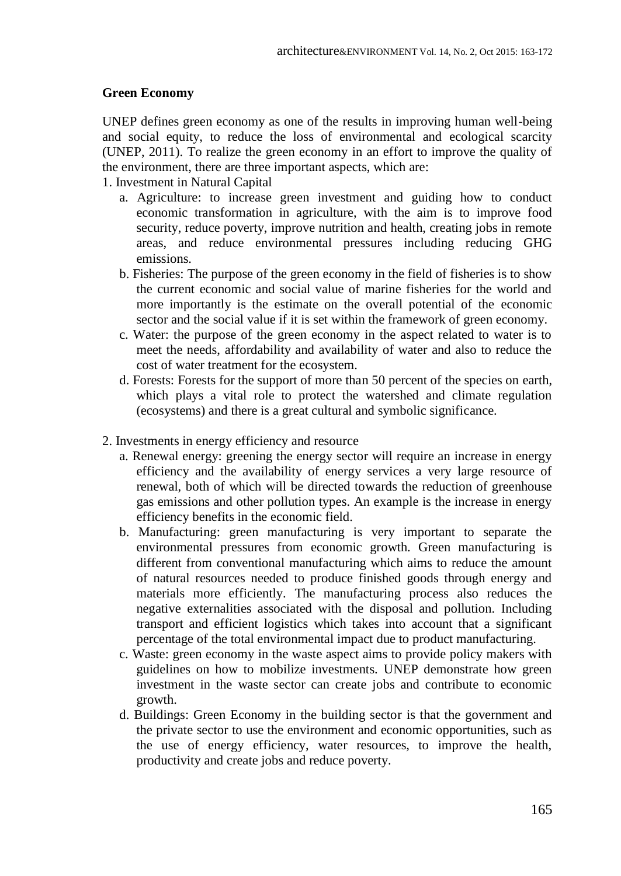#### **Green Economy**

UNEP defines green economy as one of the results in improving human well-being and social equity, to reduce the loss of environmental and ecological scarcity (UNEP, 2011). To realize the green economy in an effort to improve the quality of the environment, there are three important aspects, which are:

1. Investment in Natural Capital

- a. Agriculture: to increase green investment and guiding how to conduct economic transformation in agriculture, with the aim is to improve food security, reduce poverty, improve nutrition and health, creating jobs in remote areas, and reduce environmental pressures including reducing GHG emissions.
- b. Fisheries: The purpose of the green economy in the field of fisheries is to show the current economic and social value of marine fisheries for the world and more importantly is the estimate on the overall potential of the economic sector and the social value if it is set within the framework of green economy.
- c. Water: the purpose of the green economy in the aspect related to water is to meet the needs, affordability and availability of water and also to reduce the cost of water treatment for the ecosystem.
- d. Forests: Forests for the support of more than 50 percent of the species on earth, which plays a vital role to protect the watershed and climate regulation (ecosystems) and there is a great cultural and symbolic significance.
- 2. Investments in energy efficiency and resource
	- a. Renewal energy: greening the energy sector will require an increase in energy efficiency and the availability of energy services a very large resource of renewal, both of which will be directed towards the reduction of greenhouse gas emissions and other pollution types. An example is the increase in energy efficiency benefits in the economic field.
	- b. Manufacturing: green manufacturing is very important to separate the environmental pressures from economic growth. Green manufacturing is different from conventional manufacturing which aims to reduce the amount of natural resources needed to produce finished goods through energy and materials more efficiently. The manufacturing process also reduces the negative externalities associated with the disposal and pollution. Including transport and efficient logistics which takes into account that a significant percentage of the total environmental impact due to product manufacturing.
	- c. Waste: green economy in the waste aspect aims to provide policy makers with guidelines on how to mobilize investments. UNEP demonstrate how green investment in the waste sector can create jobs and contribute to economic growth.
	- d. Buildings: Green Economy in the building sector is that the government and the private sector to use the environment and economic opportunities, such as the use of energy efficiency, water resources, to improve the health, productivity and create jobs and reduce poverty.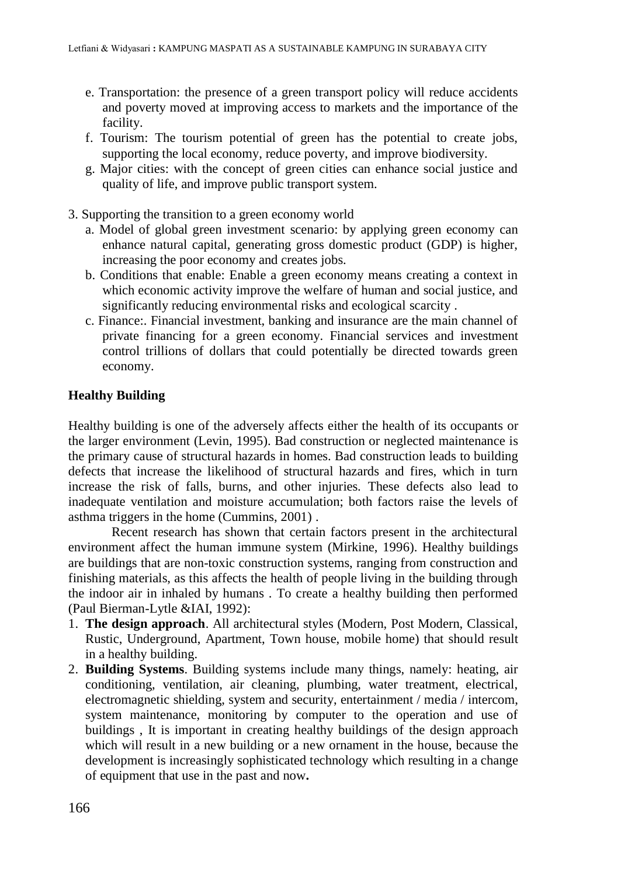- e. Transportation: the presence of a green transport policy will reduce accidents and poverty moved at improving access to markets and the importance of the facility.
- f. Tourism: The tourism potential of green has the potential to create jobs, supporting the local economy, reduce poverty, and improve biodiversity.
- g. Major cities: with the concept of green cities can enhance social justice and quality of life, and improve public transport system.
- 3. Supporting the transition to a green economy world
	- a. Model of global green investment scenario: by applying green economy can enhance natural capital, generating gross domestic product (GDP) is higher, increasing the poor economy and creates jobs.
	- b. Conditions that enable: Enable a green economy means creating a context in which economic activity improve the welfare of human and social justice, and significantly reducing environmental risks and ecological scarcity .
	- c. Finance:. Financial investment, banking and insurance are the main channel of private financing for a green economy. Financial services and investment control trillions of dollars that could potentially be directed towards green economy.

#### **Healthy Building**

Healthy building is one of the adversely affects either the health of its occupants or the larger environment (Levin, 1995). Bad construction or neglected maintenance is the primary cause of structural hazards in homes. Bad construction leads to building defects that increase the likelihood of structural hazards and fires, which in turn increase the risk of falls, burns, and other injuries. These defects also lead to inadequate ventilation and moisture accumulation; both factors raise the levels of asthma triggers in the home (Cummins, 2001) .

Recent research has shown that certain factors present in the architectural environment affect the human immune system (Mirkine, 1996). Healthy buildings are buildings that are non-toxic construction systems, ranging from construction and finishing materials, as this affects the health of people living in the building through the indoor air in inhaled by humans . To create a healthy building then performed (Paul Bierman-Lytle &IAI, 1992):

- 1. **The design approach**. All architectural styles (Modern, Post Modern, Classical, Rustic, Underground, Apartment, Town house, mobile home) that should result in a healthy building.
- 2. **Building Systems**. Building systems include many things, namely: heating, air conditioning, ventilation, air cleaning, plumbing, water treatment, electrical, electromagnetic shielding, system and security, entertainment / media / intercom, system maintenance, monitoring by computer to the operation and use of buildings , It is important in creating healthy buildings of the design approach which will result in a new building or a new ornament in the house, because the development is increasingly sophisticated technology which resulting in a change of equipment that use in the past and now**.**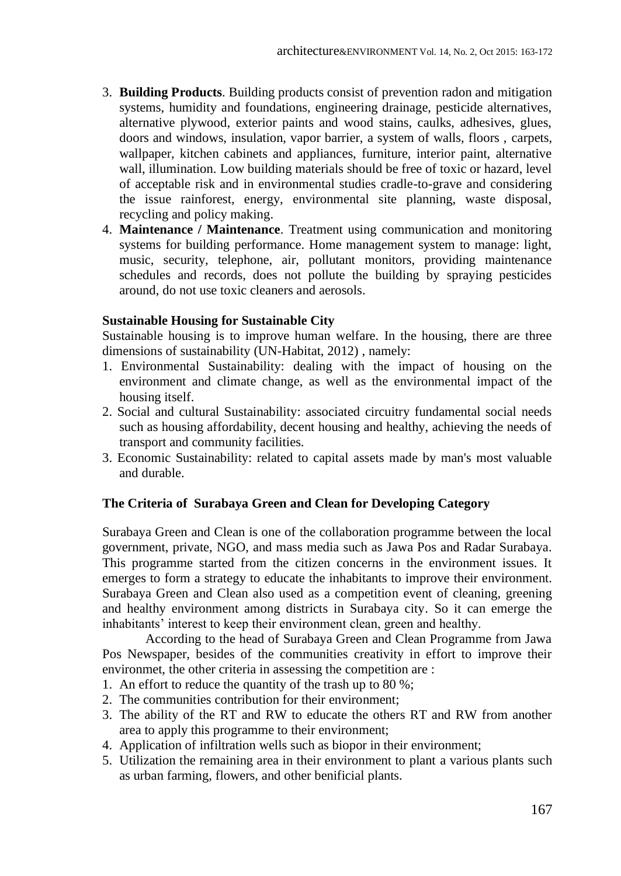- 3. **Building Products**. Building products consist of prevention radon and mitigation systems, humidity and foundations, engineering drainage, pesticide alternatives, alternative plywood, exterior paints and wood stains, caulks, adhesives, glues, doors and windows, insulation, vapor barrier, a system of walls, floors , carpets, wallpaper, kitchen cabinets and appliances, furniture, interior paint, alternative wall, illumination. Low building materials should be free of toxic or hazard, level of acceptable risk and in environmental studies cradle-to-grave and considering the issue rainforest, energy, environmental site planning, waste disposal, recycling and policy making.
- 4. **Maintenance / Maintenance**. Treatment using communication and monitoring systems for building performance. Home management system to manage: light, music, security, telephone, air, pollutant monitors, providing maintenance schedules and records, does not pollute the building by spraying pesticides around, do not use toxic cleaners and aerosols.

#### **Sustainable Housing for Sustainable City**

Sustainable housing is to improve human welfare. In the housing, there are three dimensions of sustainability (UN-Habitat, 2012) , namely:

- 1. Environmental Sustainability: dealing with the impact of housing on the environment and climate change, as well as the environmental impact of the housing itself.
- 2. Social and cultural Sustainability: associated circuitry fundamental social needs such as housing affordability, decent housing and healthy, achieving the needs of transport and community facilities.
- 3. Economic Sustainability: related to capital assets made by man's most valuable and durable.

#### **The Criteria of Surabaya Green and Clean for Developing Category**

Surabaya Green and Clean is one of the collaboration programme between the local government, private, NGO, and mass media such as Jawa Pos and Radar Surabaya. This programme started from the citizen concerns in the environment issues. It emerges to form a strategy to educate the inhabitants to improve their environment. Surabaya Green and Clean also used as a competition event of cleaning, greening and healthy environment among districts in Surabaya city. So it can emerge the inhabitants' interest to keep their environment clean, green and healthy.

According to the head of Surabaya Green and Clean Programme from Jawa Pos Newspaper, besides of the communities creativity in effort to improve their environmet, the other criteria in assessing the competition are :

- 1. An effort to reduce the quantity of the trash up to 80 %;
- 2. The communities contribution for their environment;
- 3. The ability of the RT and RW to educate the others RT and RW from another area to apply this programme to their environment;
- 4. Application of infiltration wells such as biopor in their environment;
- 5. Utilization the remaining area in their environment to plant a various plants such as urban farming, flowers, and other benificial plants.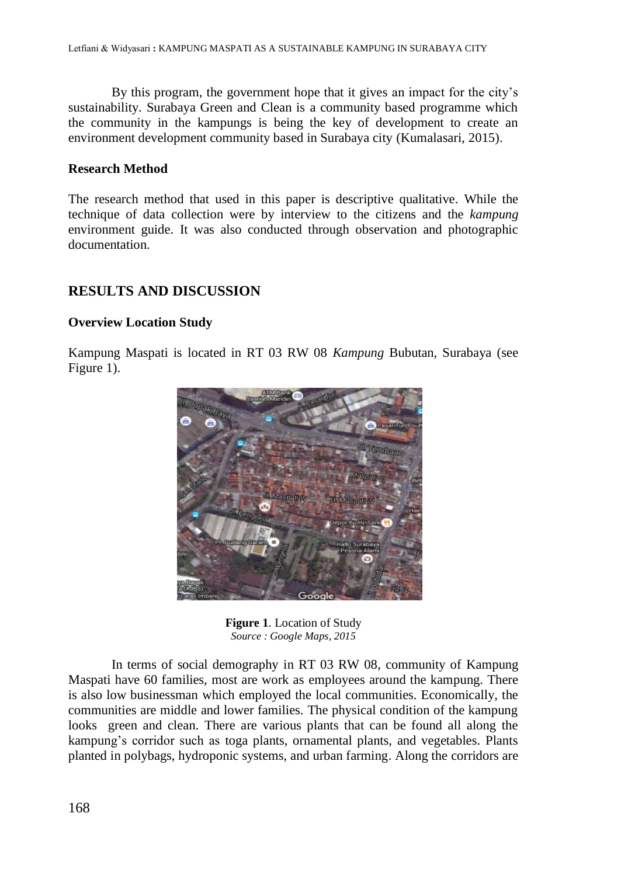By this program, the government hope that it gives an impact for the city's sustainability. Surabaya Green and Clean is a community based programme which the community in the kampungs is being the key of development to create an environment development community based in Surabaya city (Kumalasari, 2015).

#### **Research Method**

The research method that used in this paper is descriptive qualitative. While the technique of data collection were by interview to the citizens and the *kampung*  environment guide. It was also conducted through observation and photographic documentation.

## **RESULTS AND DISCUSSION**

#### **Overview Location Study**

Kampung Maspati is located in RT 03 RW 08 *Kampung* Bubutan, Surabaya (see Figure 1).



**Figure 1**. Location of Study *Source : Google Maps, 2015*

In terms of social demography in RT 03 RW 08, community of Kampung Maspati have 60 families, most are work as employees around the kampung. There is also low businessman which employed the local communities. Economically, the communities are middle and lower families. The physical condition of the kampung looks green and clean. There are various plants that can be found all along the kampung's corridor such as toga plants, ornamental plants, and vegetables. Plants planted in polybags, hydroponic systems, and urban farming. Along the corridors are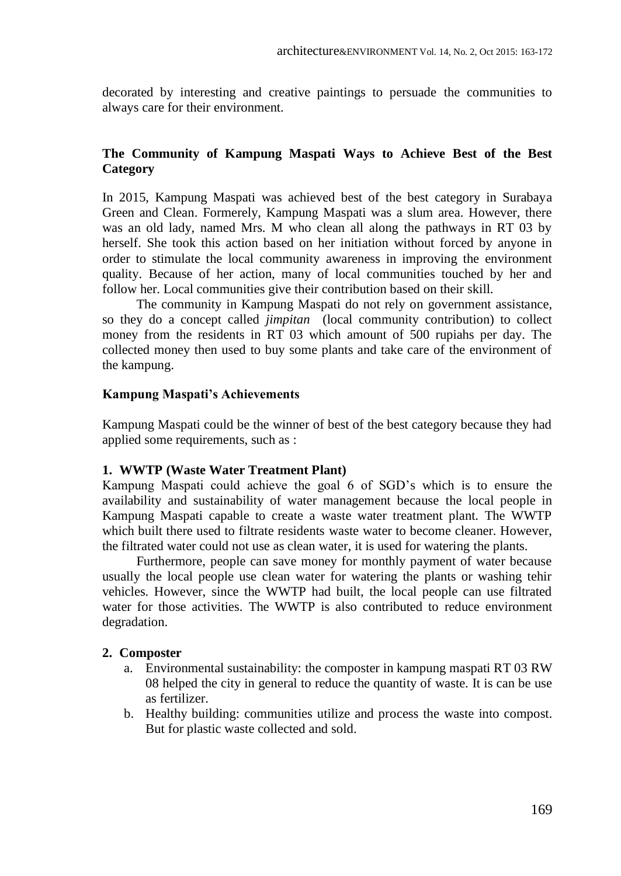decorated by interesting and creative paintings to persuade the communities to always care for their environment.

#### **The Community of Kampung Maspati Ways to Achieve Best of the Best Category**

In 2015, Kampung Maspati was achieved best of the best category in Surabaya Green and Clean. Formerely, Kampung Maspati was a slum area. However, there was an old lady, named Mrs. M who clean all along the pathways in RT 03 by herself. She took this action based on her initiation without forced by anyone in order to stimulate the local community awareness in improving the environment quality. Because of her action, many of local communities touched by her and follow her. Local communities give their contribution based on their skill.

The community in Kampung Maspati do not rely on government assistance, so they do a concept called *jimpitan* (local community contribution) to collect money from the residents in RT 03 which amount of 500 rupiahs per day. The collected money then used to buy some plants and take care of the environment of the kampung.

#### **Kampung Maspati's Achievements**

Kampung Maspati could be the winner of best of the best category because they had applied some requirements, such as :

#### **1. WWTP (Waste Water Treatment Plant)**

Kampung Maspati could achieve the goal 6 of SGD's which is to ensure the availability and sustainability of water management because the local people in Kampung Maspati capable to create a waste water treatment plant. The WWTP which built there used to filtrate residents waste water to become cleaner. However, the filtrated water could not use as clean water, it is used for watering the plants.

Furthermore, people can save money for monthly payment of water because usually the local people use clean water for watering the plants or washing tehir vehicles. However, since the WWTP had built, the local people can use filtrated water for those activities. The WWTP is also contributed to reduce environment degradation.

#### **2. Composter**

- a. Environmental sustainability: the composter in kampung maspati RT 03 RW 08 helped the city in general to reduce the quantity of waste. It is can be use as fertilizer.
- b. Healthy building: communities utilize and process the waste into compost. But for plastic waste collected and sold.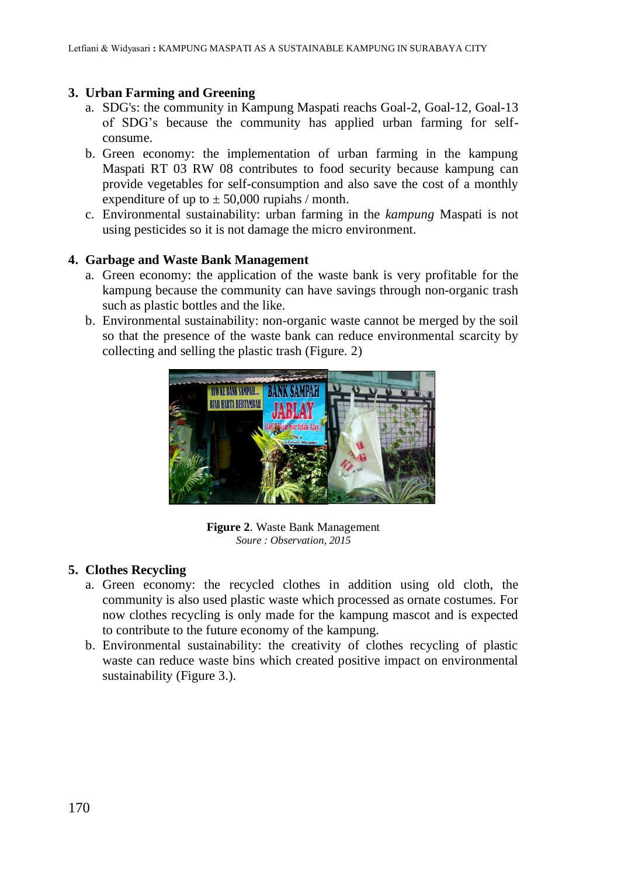#### **3. Urban Farming and Greening**

- a. SDG's: the community in Kampung Maspati reachs Goal-2, Goal-12, Goal-13 of SDG's because the community has applied urban farming for selfconsume.
- b. Green economy: the implementation of urban farming in the kampung Maspati RT 03 RW 08 contributes to food security because kampung can provide vegetables for self-consumption and also save the cost of a monthly expenditure of up to  $\pm$  50,000 rupiahs / month.
- c. Environmental sustainability: urban farming in the *kampung* Maspati is not using pesticides so it is not damage the micro environment.

#### **4. Garbage and Waste Bank Management**

- a. Green economy: the application of the waste bank is very profitable for the kampung because the community can have savings through non-organic trash such as plastic bottles and the like.
- b. Environmental sustainability: non-organic waste cannot be merged by the soil so that the presence of the waste bank can reduce environmental scarcity by collecting and selling the plastic trash (Figure. 2)



**Figure 2**. Waste Bank Management *Soure : Observation, 2015*

### **5. Clothes Recycling**

- a. Green economy: the recycled clothes in addition using old cloth, the community is also used plastic waste which processed as ornate costumes. For now clothes recycling is only made for the kampung mascot and is expected to contribute to the future economy of the kampung.
- b. Environmental sustainability: the creativity of clothes recycling of plastic waste can reduce waste bins which created positive impact on environmental sustainability (Figure 3.).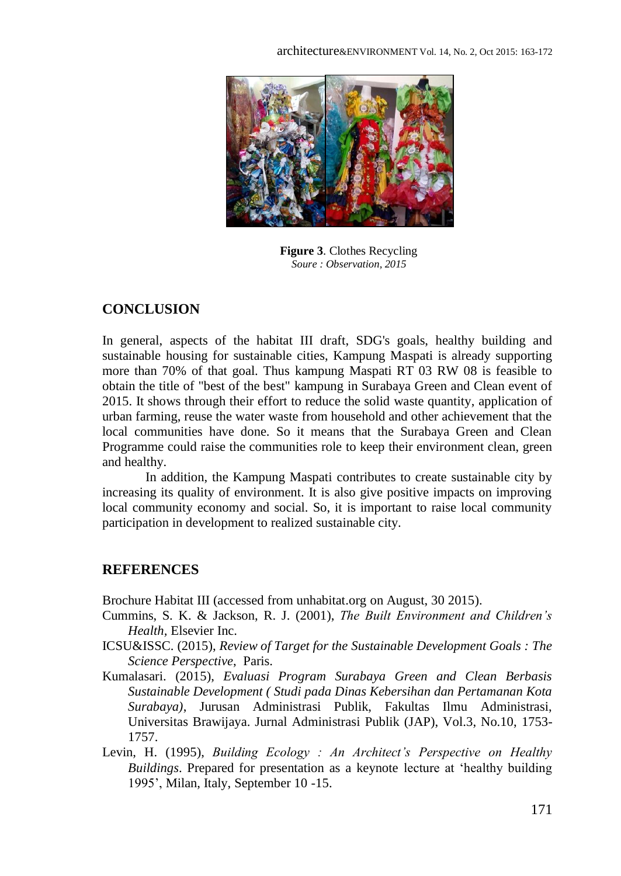

**Figure 3**. Clothes Recycling *Soure : Observation, 2015*

### **CONCLUSION**

In general, aspects of the habitat III draft, SDG's goals, healthy building and sustainable housing for sustainable cities, Kampung Maspati is already supporting more than 70% of that goal. Thus kampung Maspati RT 03 RW 08 is feasible to obtain the title of "best of the best" kampung in Surabaya Green and Clean event of 2015. It shows through their effort to reduce the solid waste quantity, application of urban farming, reuse the water waste from household and other achievement that the local communities have done. So it means that the Surabaya Green and Clean Programme could raise the communities role to keep their environment clean, green and healthy.

In addition, the Kampung Maspati contributes to create sustainable city by increasing its quality of environment. It is also give positive impacts on improving local community economy and social. So, it is important to raise local community participation in development to realized sustainable city.

### **REFERENCES**

Brochure Habitat III (accessed from unhabitat.org on August, 30 2015).

- Cummins, S. K. & Jackson, R. J. (2001), *The Built Environment and Children's Health,* Elsevier Inc.
- ICSU&ISSC. (2015), *Review of Target for the Sustainable Development Goals : The Science Perspective*, Paris.
- Kumalasari. (2015), *Evaluasi Program Surabaya Green and Clean Berbasis Sustainable Development ( Studi pada Dinas Kebersihan dan Pertamanan Kota Surabaya)*, Jurusan Administrasi Publik, Fakultas Ilmu Administrasi, Universitas Brawijaya. Jurnal Administrasi Publik (JAP), Vol.3, No.10, 1753- 1757.
- Levin, H. (1995), *Building Ecology : An Architect's Perspective on Healthy Buildings*. Prepared for presentation as a keynote lecture at 'healthy building 1995', Milan, Italy, September 10 -15.